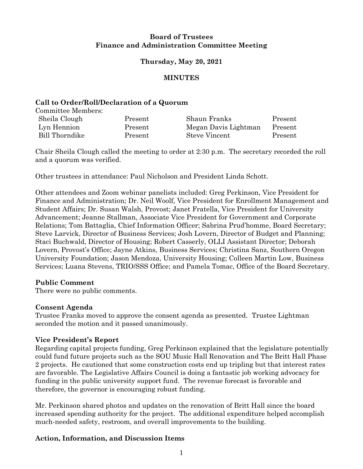#### **Board of Trustees Finance and Administration Committee Meeting**

# **Thursday, May 20, 2021**

#### **MINUTES**

#### **Call to Order/Roll/Declaration of a Quorum**

Committee Members:

| Sheila Clough  | Present | Shaun Franks         | Present |
|----------------|---------|----------------------|---------|
| Lyn Hennion    | Present | Megan Davis Lightman | Present |
| Bill Thorndike | Present | Steve Vincent        | Present |

Chair Sheila Clough called the meeting to order at 2:30 p.m. The secretary recorded the roll and a quorum was verified.

Other trustees in attendance: Paul Nicholson and President Linda Schott.

Other attendees and Zoom webinar panelists included: Greg Perkinson, Vice President for Finance and Administration; Dr. Neil Woolf, Vice President for Enrollment Management and Student Affairs; Dr. Susan Walsh, Provost; Janet Fratella, Vice President for University Advancement; Jeanne Stallman, Associate Vice President for Government and Corporate Relations; Tom Battaglia, Chief Information Officer; Sabrina Prud'homme, Board Secretary; Steve Larvick, Director of Business Services; Josh Lovern, Director of Budget and Planning; Staci Buchwald, Director of Housing; Robert Casserly, OLLI Assistant Director; Deborah Lovern, Provost's Office; Jayne Atkins, Business Services; Christina Sanz, Southern Oregon University Foundation; Jason Mendoza, University Housing; Colleen Martin Low, Business Services; Luana Stevens, TRIO/SSS Office; and Pamela Tomac, Office of the Board Secretary.

# **Public Comment**

There were no public comments.

#### **Consent Agenda**

Trustee Franks moved to approve the consent agenda as presented. Trustee Lightman seconded the motion and it passed unanimously.

# **Vice President's Report**

Regarding capital projects funding, Greg Perkinson explained that the legislature potentially could fund future projects such as the SOU Music Hall Renovation and The Britt Hall Phase 2 projects. He cautioned that some construction costs end up tripling but that interest rates are favorable. The Legislative Affairs Council is doing a fantastic job working advocacy for funding in the public university support fund. The revenue forecast is favorable and therefore, the governor is encouraging robust funding.

Mr. Perkinson shared photos and updates on the renovation of Britt Hall since the board increased spending authority for the project. The additional expenditure helped accomplish much-needed safety, restroom, and overall improvements to the building.

# **Action, Information, and Discussion Items**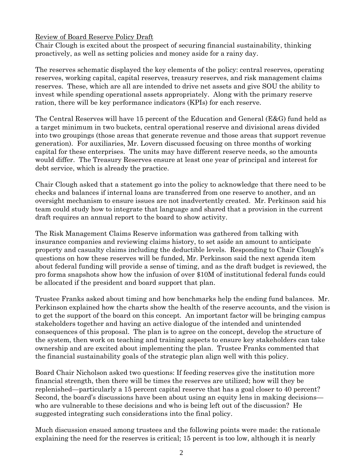# Review of Board Reserve Policy Draft

Chair Clough is excited about the prospect of securing financial sustainability, thinking proactively, as well as setting policies and money aside for a rainy day.

The reserves schematic displayed the key elements of the policy: central reserves, operating reserves, working capital, capital reserves, treasury reserves, and risk management claims reserves. These, which are all are intended to drive net assets and give SOU the ability to invest while spending operational assets appropriately. Along with the primary reserve ration, there will be key performance indicators (KPIs) for each reserve.

The Central Reserves will have 15 percent of the Education and General (E&G) fund held as a target minimum in two buckets, central operational reserve and divisional areas divided into two groupings (those areas that generate revenue and those areas that support revenue generation). For auxiliaries, Mr. Lovern discussed focusing on three months of working capital for these enterprises. The units may have different reserve needs, so the amounts would differ. The Treasury Reserves ensure at least one year of principal and interest for debt service, which is already the practice.

Chair Clough asked that a statement go into the policy to acknowledge that there need to be checks and balances if internal loans are transferred from one reserve to another, and an oversight mechanism to ensure issues are not inadvertently created. Mr. Perkinson said his team could study how to integrate that language and shared that a provision in the current draft requires an annual report to the board to show activity.

The Risk Management Claims Reserve information was gathered from talking with insurance companies and reviewing claims history, to set aside an amount to anticipate property and casualty claims including the deductible levels. Responding to Chair Clough's questions on how these reserves will be funded, Mr. Perkinson said the next agenda item about federal funding will provide a sense of timing, and as the draft budget is reviewed, the pro forma snapshots show how the infusion of over \$10M of institutional federal funds could be allocated if the president and board support that plan.

Trustee Franks asked about timing and how benchmarks help the ending fund balances. Mr. Perkinson explained how the charts show the health of the reserve accounts, and the vision is to get the support of the board on this concept. An important factor will be bringing campus stakeholders together and having an active dialogue of the intended and unintended consequences of this proposal. The plan is to agree on the concept, develop the structure of the system, then work on teaching and training aspects to ensure key stakeholders can take ownership and are excited about implementing the plan. Trustee Franks commented that the financial sustainability goals of the strategic plan align well with this policy.

Board Chair Nicholson asked two questions: If feeding reserves give the institution more financial strength, then there will be times the reserves are utilized; how will they be replenished—particularly a 15 percent capital reserve that has a goal closer to 40 percent? Second, the board's discussions have been about using an equity lens in making decisions who are vulnerable to these decisions and who is being left out of the discussion? He suggested integrating such considerations into the final policy.

Much discussion ensued among trustees and the following points were made: the rationale explaining the need for the reserves is critical; 15 percent is too low, although it is nearly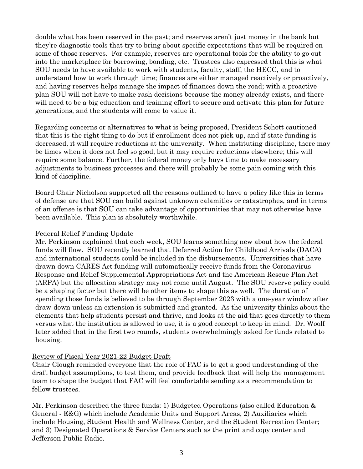double what has been reserved in the past; and reserves aren't just money in the bank but they're diagnostic tools that try to bring about specific expectations that will be required on some of those reserves. For example, reserves are operational tools for the ability to go out into the marketplace for borrowing, bonding, etc. Trustees also expressed that this is what SOU needs to have available to work with students, faculty, staff, the HECC, and to understand how to work through time; finances are either managed reactively or proactively, and having reserves helps manage the impact of finances down the road; with a proactive plan SOU will not have to make rash decisions because the money already exists, and there will need to be a big education and training effort to secure and activate this plan for future generations, and the students will come to value it.

Regarding concerns or alternatives to what is being proposed, President Schott cautioned that this is the right thing to do but if enrollment does not pick up, and if state funding is decreased, it will require reductions at the university. When instituting discipline, there may be times when it does not feel so good, but it may require reductions elsewhere; this will require some balance. Further, the federal money only buys time to make necessary adjustments to business processes and there will probably be some pain coming with this kind of discipline.

Board Chair Nicholson supported all the reasons outlined to have a policy like this in terms of defense are that SOU can build against unknown calamities or catastrophes, and in terms of an offense is that SOU can take advantage of opportunities that may not otherwise have been available. This plan is absolutely worthwhile.

#### Federal Relief Funding Update

Mr. Perkinson explained that each week, SOU learns something new about how the federal funds will flow. SOU recently learned that Deferred Action for Childhood Arrivals (DACA) and international students could be included in the disbursements. Universities that have drawn down CARES Act funding will automatically receive funds from the Coronavirus Response and Relief Supplemental Appropriations Act and the American Rescue Plan Act (ARPA) but the allocation strategy may not come until August. The SOU reserve policy could be a shaping factor but there will be other items to shape this as well. The duration of spending those funds is believed to be through September 2023 with a one-year window after draw-down unless an extension is submitted and granted. As the university thinks about the elements that help students persist and thrive, and looks at the aid that goes directly to them versus what the institution is allowed to use, it is a good concept to keep in mind. Dr. Woolf later added that in the first two rounds, students overwhelmingly asked for funds related to housing.

# Review of Fiscal Year 2021-22 Budget Draft

Chair Clough reminded everyone that the role of FAC is to get a good understanding of the draft budget assumptions, to test them, and provide feedback that will help the management team to shape the budget that FAC will feel comfortable sending as a recommendation to fellow trustees.

Mr. Perkinson described the three funds: 1) Budgeted Operations (also called Education & General - E&G) which include Academic Units and Support Areas; 2) Auxiliaries which include Housing, Student Health and Wellness Center, and the Student Recreation Center; and 3) Designated Operations & Service Centers such as the print and copy center and Jefferson Public Radio.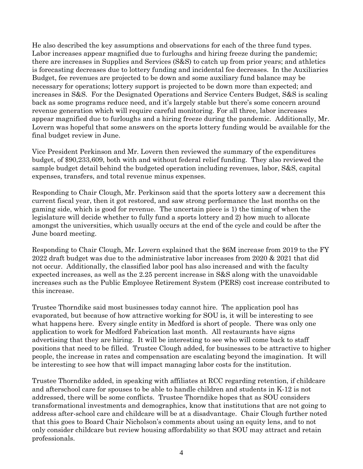He also described the key assumptions and observations for each of the three fund types. Labor increases appear magnified due to furloughs and hiring freeze during the pandemic; there are increases in Supplies and Services (S&S) to catch up from prior years; and athletics is forecasting decreases due to lottery funding and incidental fee decreases. In the Auxiliaries Budget, fee revenues are projected to be down and some auxiliary fund balance may be necessary for operations; lottery support is projected to be down more than expected; and increases in S&S. For the Designated Operations and Service Centers Budget, S&S is scaling back as some programs reduce need, and it's largely stable but there's some concern around revenue generation which will require careful monitoring. For all three, labor increases appear magnified due to furloughs and a hiring freeze during the pandemic. Additionally, Mr. Lovern was hopeful that some answers on the sports lottery funding would be available for the final budget review in June.

Vice President Perkinson and Mr. Lovern then reviewed the summary of the expenditures budget, of \$90,233,609, both with and without federal relief funding. They also reviewed the sample budget detail behind the budgeted operation including revenues, labor, S&S, capital expenses, transfers, and total revenue minus expenses.

Responding to Chair Clough, Mr. Perkinson said that the sports lottery saw a decrement this current fiscal year, then it got restored, and saw strong performance the last months on the gaming side, which is good for revenue. The uncertain piece is 1) the timing of when the legislature will decide whether to fully fund a sports lottery and 2) how much to allocate amongst the universities, which usually occurs at the end of the cycle and could be after the June board meeting.

Responding to Chair Clough, Mr. Lovern explained that the \$6M increase from 2019 to the FY 2022 draft budget was due to the administrative labor increases from 2020 & 2021 that did not occur. Additionally, the classified labor pool has also increased and with the faculty expected increases, as well as the 2.25 percent increase in S&S along with the unavoidable increases such as the Public Employee Retirement System (PERS) cost increase contributed to this increase.

Trustee Thorndike said most businesses today cannot hire. The application pool has evaporated, but because of how attractive working for SOU is, it will be interesting to see what happens here. Every single entity in Medford is short of people. There was only one application to work for Medford Fabrication last month. All restaurants have signs advertising that they are hiring. It will be interesting to see who will come back to staff positions that need to be filled. Trustee Clough added, for businesses to be attractive to higher people, the increase in rates and compensation are escalating beyond the imagination. It will be interesting to see how that will impact managing labor costs for the institution.

Trustee Thorndike added, in speaking with affiliates at RCC regarding retention, if childcare and afterschool care for spouses to be able to handle children and students in K-12 is not addressed, there will be some conflicts. Trustee Thorndike hopes that as SOU considers transformational investments and demographics, know that institutions that are not going to address after-school care and childcare will be at a disadvantage. Chair Clough further noted that this goes to Board Chair Nicholson's comments about using an equity lens, and to not only consider childcare but review housing affordability so that SOU may attract and retain professionals.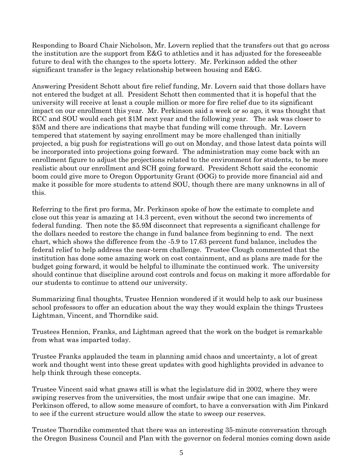Responding to Board Chair Nicholson, Mr. Lovern replied that the transfers out that go across the institution are the support from E&G to athletics and it has adjusted for the foreseeable future to deal with the changes to the sports lottery. Mr. Perkinson added the other significant transfer is the legacy relationship between housing and E&G.

Answering President Schott about fire relief funding, Mr. Lovern said that those dollars have not entered the budget at all. President Schott then commented that it is hopeful that the university will receive at least a couple million or more for fire relief due to its significant impact on our enrollment this year. Mr. Perkinson said a week or so ago, it was thought that RCC and SOU would each get \$1M next year and the following year. The ask was closer to \$5M and there are indications that maybe that funding will come through. Mr. Lovern tempered that statement by saying enrollment may be more challenged than initially projected, a big push for registrations will go out on Monday, and those latest data points will be incorporated into projections going forward. The administration may come back with an enrollment figure to adjust the projections related to the environment for students, to be more realistic about our enrollment and SCH going forward. President Schott said the economic boom could give more to Oregon Opportunity Grant (OOG) to provide more financial aid and make it possible for more students to attend SOU, though there are many unknowns in all of this.

Referring to the first pro forma, Mr. Perkinson spoke of how the estimate to complete and close out this year is amazing at 14.3 percent, even without the second two increments of federal funding. Then note the \$5.9M disconnect that represents a significant challenge for the dollars needed to restore the change in fund balance from beginning to end. The next chart, which shows the difference from the -5.9 to 17.63 percent fund balance, includes the federal relief to help address the near-term challenge. Trustee Clough commented that the institution has done some amazing work on cost containment, and as plans are made for the budget going forward, it would be helpful to illuminate the continued work. The university should continue that discipline around cost controls and focus on making it more affordable for our students to continue to attend our university.

Summarizing final thoughts, Trustee Hennion wondered if it would help to ask our business school professors to offer an education about the way they would explain the things Trustees Lightman, Vincent, and Thorndike said.

Trustees Hennion, Franks, and Lightman agreed that the work on the budget is remarkable from what was imparted today.

Trustee Franks applauded the team in planning amid chaos and uncertainty, a lot of great work and thought went into these great updates with good highlights provided in advance to help think through these concepts.

Trustee Vincent said what gnaws still is what the legislature did in 2002, where they were swiping reserves from the universities, the most unfair swipe that one can imagine. Mr. Perkinson offered, to allow some measure of comfort, to have a conversation with Jim Pinkard to see if the current structure would allow the state to sweep our reserves.

Trustee Thorndike commented that there was an interesting 35-minute conversation through the Oregon Business Council and Plan with the governor on federal monies coming down aside